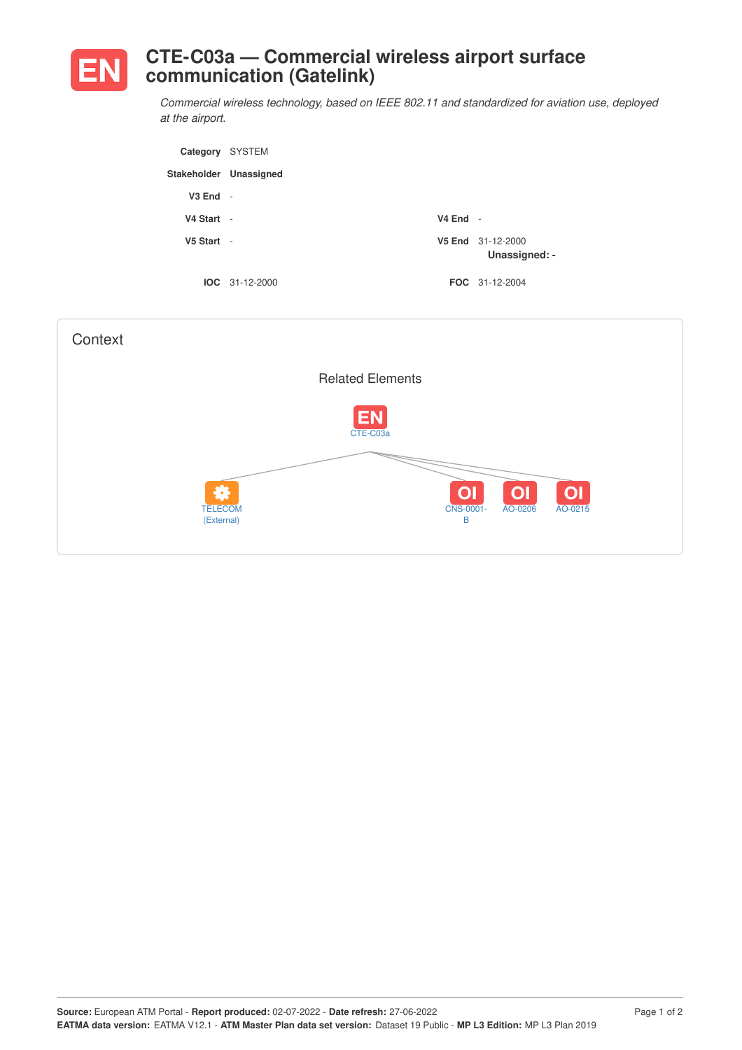

## **CTE-C03a — Commercial wireless airport surface communication (Gatelink)**

*Commercial wireless technology, based on IEEE 802.11 and standardized for aviation use, deployed at the airport.*

| Category SYSTEM        |                  |                                    |
|------------------------|------------------|------------------------------------|
| Stakeholder Unassigned |                  |                                    |
| $V3$ End $-$           |                  |                                    |
| V4 Start -             | $V4$ End -       |                                    |
| $V5$ Start -           |                  | V5 End 31-12-2000<br>Unassigned: - |
|                        | $IOC 31-12-2000$ | <b>FOC</b> 31-12-2004              |